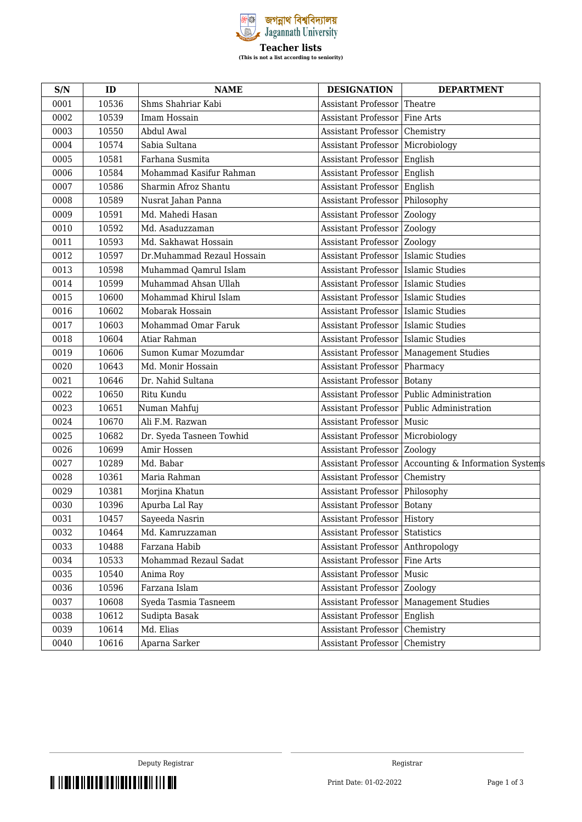

| S/N  | ID    | <b>NAME</b>                | <b>DESIGNATION</b>                    | <b>DEPARTMENT</b>                                    |
|------|-------|----------------------------|---------------------------------------|------------------------------------------------------|
| 0001 | 10536 | Shms Shahriar Kabi         | <b>Assistant Professor</b>            | Theatre                                              |
| 0002 | 10539 | Imam Hossain               | <b>Assistant Professor</b>            | Fine Arts                                            |
| 0003 | 10550 | Abdul Awal                 | <b>Assistant Professor</b>            | Chemistry                                            |
| 0004 | 10574 | Sabia Sultana              | Assistant Professor                   | Microbiology                                         |
| 0005 | 10581 | Farhana Susmita            | Assistant Professor                   | English                                              |
| 0006 | 10584 | Mohammad Kasifur Rahman    | Assistant Professor   English         |                                                      |
| 0007 | 10586 | Sharmin Afroz Shantu       | <b>Assistant Professor</b>            | English                                              |
| 0008 | 10589 | Nusrat Jahan Panna         | Assistant Professor                   | Philosophy                                           |
| 0009 | 10591 | Md. Mahedi Hasan           | <b>Assistant Professor</b>            | Zoology                                              |
| 0010 | 10592 | Md. Asaduzzaman            | Assistant Professor                   | Zoology                                              |
| 0011 | 10593 | Md. Sakhawat Hossain       | Assistant Professor Zoology           |                                                      |
| 0012 | 10597 | Dr.Muhammad Rezaul Hossain | Assistant Professor   Islamic Studies |                                                      |
| 0013 | 10598 | Muhammad Qamrul Islam      | Assistant Professor   Islamic Studies |                                                      |
| 0014 | 10599 | Muhammad Ahsan Ullah       | Assistant Professor   Islamic Studies |                                                      |
| 0015 | 10600 | Mohammad Khirul Islam      | Assistant Professor   Islamic Studies |                                                      |
| 0016 | 10602 | Mobarak Hossain            | Assistant Professor   Islamic Studies |                                                      |
| 0017 | 10603 | Mohammad Omar Faruk        | Assistant Professor   Islamic Studies |                                                      |
| 0018 | 10604 | Atiar Rahman               | Assistant Professor   Islamic Studies |                                                      |
| 0019 | 10606 | Sumon Kumar Mozumdar       |                                       | Assistant Professor   Management Studies             |
| 0020 | 10643 | Md. Monir Hossain          | Assistant Professor   Pharmacy        |                                                      |
| 0021 | 10646 | Dr. Nahid Sultana          | Assistant Professor                   | <b>Botany</b>                                        |
| 0022 | 10650 | Ritu Kundu                 |                                       | Assistant Professor   Public Administration          |
| 0023 | 10651 | Numan Mahfuj               |                                       | Assistant Professor   Public Administration          |
| 0024 | 10670 | Ali F.M. Razwan            | Assistant Professor                   | Music                                                |
| 0025 | 10682 | Dr. Syeda Tasneen Towhid   | Assistant Professor   Microbiology    |                                                      |
| 0026 | 10699 | Amir Hossen                | <b>Assistant Professor   Zoology</b>  |                                                      |
| 0027 | 10289 | Md. Babar                  |                                       | Assistant Professor Accounting & Information Systems |
| 0028 | 10361 | Maria Rahman               | Assistant Professor                   | Chemistry                                            |
| 0029 | 10381 | Morjina Khatun             | Assistant Professor Philosophy        |                                                      |
| 0030 | 10396 | Apurba Lal Ray             | Assistant Professor   Botany          |                                                      |
| 0031 | 10457 | Sayeeda Nasrin             | Assistant Professor   History         |                                                      |
| 0032 | 10464 | Md. Kamruzzaman            | Assistant Professor Statistics        |                                                      |
| 0033 | 10488 | Farzana Habib              | <b>Assistant Professor</b>            | Anthropology                                         |
| 0034 | 10533 | Mohammad Rezaul Sadat      | <b>Assistant Professor</b>            | Fine Arts                                            |
| 0035 | 10540 | Anima Roy                  | <b>Assistant Professor</b>            | Music                                                |
| 0036 | 10596 | Farzana Islam              | Assistant Professor                   | Zoology                                              |
| 0037 | 10608 | Syeda Tasmia Tasneem       | <b>Assistant Professor</b>            | <b>Management Studies</b>                            |
| 0038 | 10612 | Sudipta Basak              | Assistant Professor                   | English                                              |
| 0039 | 10614 | Md. Elias                  | <b>Assistant Professor</b>            | Chemistry                                            |
| 0040 | 10616 | Aparna Sarker              | <b>Assistant Professor</b>            | Chemistry                                            |

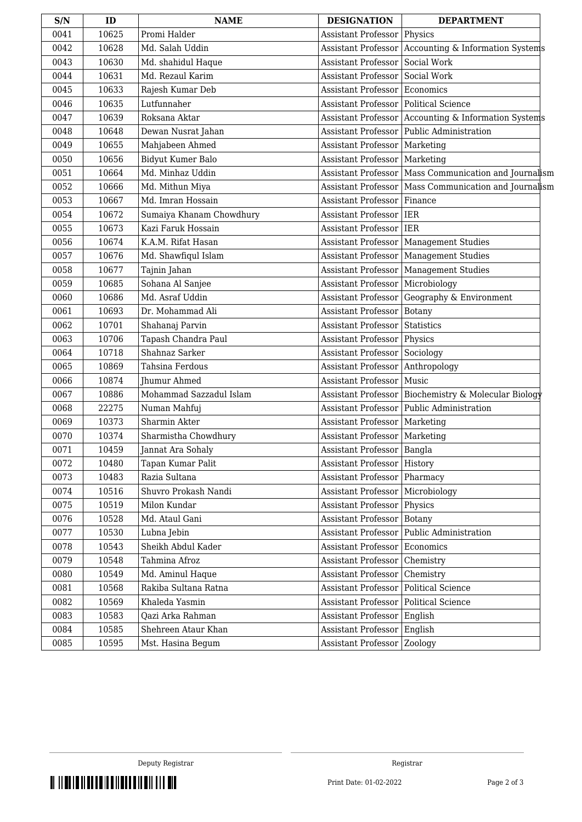| S/N  | ID    | <b>NAME</b>              | <b>DESIGNATION</b>                   | <b>DEPARTMENT</b>                                      |
|------|-------|--------------------------|--------------------------------------|--------------------------------------------------------|
| 0041 | 10625 | Promi Halder             | Assistant Professor                  | Physics                                                |
| 0042 | 10628 | Md. Salah Uddin          |                                      | Assistant Professor   Accounting & Information Systems |
| 0043 | 10630 | Md. shahidul Haque       | <b>Assistant Professor</b>           | Social Work                                            |
| 0044 | 10631 | Md. Rezaul Karim         | Assistant Professor                  | Social Work                                            |
| 0045 | 10633 | Rajesh Kumar Deb         | <b>Assistant Professor</b>           | Economics                                              |
| 0046 | 10635 | Lutfunnaher              | <b>Assistant Professor</b>           | <b>Political Science</b>                               |
| 0047 | 10639 | Roksana Aktar            |                                      | Assistant Professor   Accounting & Information Systems |
| 0048 | 10648 | Dewan Nusrat Jahan       | <b>Assistant Professor</b>           | Public Administration                                  |
| 0049 | 10655 | Mahjabeen Ahmed          | <b>Assistant Professor</b>           | Marketing                                              |
| 0050 | 10656 | Bidyut Kumer Balo        | Assistant Professor   Marketing      |                                                        |
| 0051 | 10664 | Md. Minhaz Uddin         | Assistant Professor                  | Mass Communication and Journalism                      |
| 0052 | 10666 | Md. Mithun Miya          | <b>Assistant Professor</b>           | Mass Communication and Journalism                      |
| 0053 | 10667 | Md. Imran Hossain        | <b>Assistant Professor</b>           | Finance                                                |
| 0054 | 10672 | Sumaiya Khanam Chowdhury | <b>Assistant Professor</b>           | <b>IER</b>                                             |
| 0055 | 10673 | Kazi Faruk Hossain       | Assistant Professor                  | <b>IER</b>                                             |
| 0056 | 10674 | K.A.M. Rifat Hasan       | <b>Assistant Professor</b>           | <b>Management Studies</b>                              |
| 0057 | 10676 | Md. Shawfiqul Islam      | <b>Assistant Professor</b>           | Management Studies                                     |
| 0058 | 10677 | Tajnin Jahan             | Assistant Professor                  | <b>Management Studies</b>                              |
| 0059 | 10685 | Sohana Al Sanjee         | <b>Assistant Professor</b>           | Microbiology                                           |
| 0060 | 10686 | Md. Asraf Uddin          | <b>Assistant Professor</b>           | Geography & Environment                                |
| 0061 | 10693 | Dr. Mohammad Ali         | Assistant Professor                  | Botany                                                 |
| 0062 | 10701 | Shahanaj Parvin          | <b>Assistant Professor</b>           | Statistics                                             |
| 0063 | 10706 | Tapash Chandra Paul      | <b>Assistant Professor</b>           | Physics                                                |
| 0064 | 10718 | Shahnaz Sarker           | <b>Assistant Professor</b>           | Sociology                                              |
| 0065 | 10869 | Tahsina Ferdous          | <b>Assistant Professor</b>           | Anthropology                                           |
| 0066 | 10874 | <b>Jhumur Ahmed</b>      | Assistant Professor                  | Music                                                  |
| 0067 | 10886 | Mohammad Sazzadul Islam  | Assistant Professor                  | Biochemistry & Molecular Biology                       |
| 0068 | 22275 | Numan Mahfuj             | <b>Assistant Professor</b>           | <b>Public Administration</b>                           |
| 0069 | 10373 | Sharmin Akter            | Assistant Professor   Marketing      |                                                        |
| 0070 | 10374 | Sharmistha Chowdhury     | Assistant Professor   Marketing      |                                                        |
| 0071 | 10459 | Jannat Ara Sohaly        | Assistant Professor   Bangla         |                                                        |
| 0072 | 10480 | Tapan Kumar Palit        | Assistant Professor   History        |                                                        |
| 0073 | 10483 | Razia Sultana            | <b>Assistant Professor</b>           | Pharmacy                                               |
| 0074 | 10516 | Shuvro Prokash Nandi     | Assistant Professor                  | Microbiology                                           |
| 0075 | 10519 | Milon Kundar             | <b>Assistant Professor   Physics</b> |                                                        |
| 0076 | 10528 | Md. Ataul Gani           | Assistant Professor                  | Botany                                                 |
| 0077 | 10530 | Lubna Jebin              | Assistant Professor                  | Public Administration                                  |
| 0078 | 10543 | Sheikh Abdul Kader       | Assistant Professor                  | Economics                                              |
| 0079 | 10548 | Tahmina Afroz            | Assistant Professor                  | Chemistry                                              |
| 0080 | 10549 | Md. Aminul Haque         | Assistant Professor   Chemistry      |                                                        |
| 0081 | 10568 | Rakiba Sultana Ratna     | Assistant Professor                  | Political Science                                      |
| 0082 | 10569 | Khaleda Yasmin           | Assistant Professor                  | Political Science                                      |
| 0083 | 10583 | Qazi Arka Rahman         | Assistant Professor                  | English                                                |
| 0084 | 10585 | Shehreen Ataur Khan      | Assistant Professor                  | English                                                |
| 0085 | 10595 | Mst. Hasina Begum        | Assistant Professor                  | Zoology                                                |